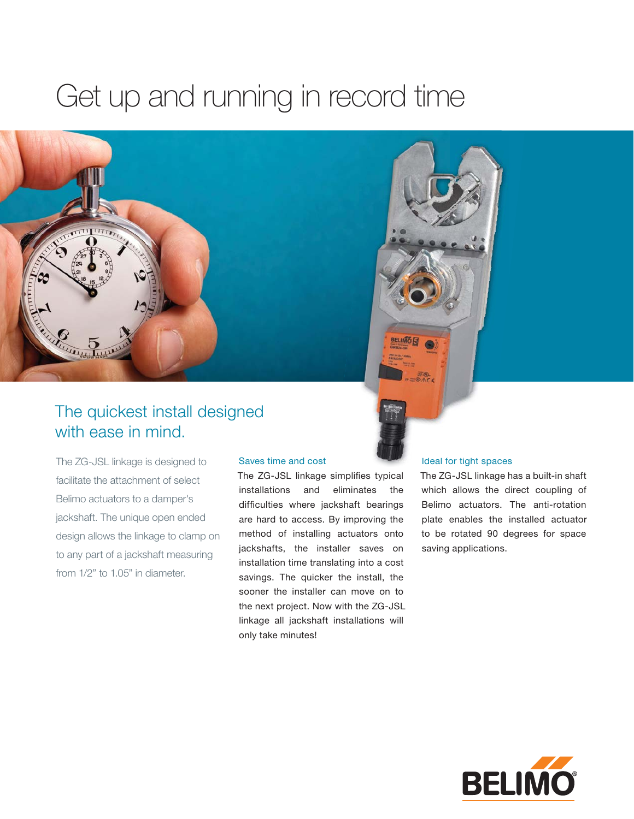### Get up and running in record time





The ZG-JSL linkage is designed to facilitate the attachment of select Belimo actuators to a damper's jackshaft. The unique open ended design allows the linkage to clamp on to any part of a jackshaft measuring from 1/2" to 1.05" in diameter.

#### Saves time and cost

The ZG-JSL linkage simplifies typical installations and eliminates the difficulties where jackshaft bearings are hard to access. By improving the method of installing actuators onto jackshafts, the installer saves on installation time translating into a cost savings. The quicker the install, the sooner the installer can move on to the next project. Now with the ZG-JSL linkage all jackshaft installations will only take minutes!

#### Ideal for tight spaces

The ZG-JSL linkage has a built-in shaft which allows the direct coupling of Belimo actuators. The anti-rotation plate enables the installed actuator to be rotated 90 degrees for space saving applications.

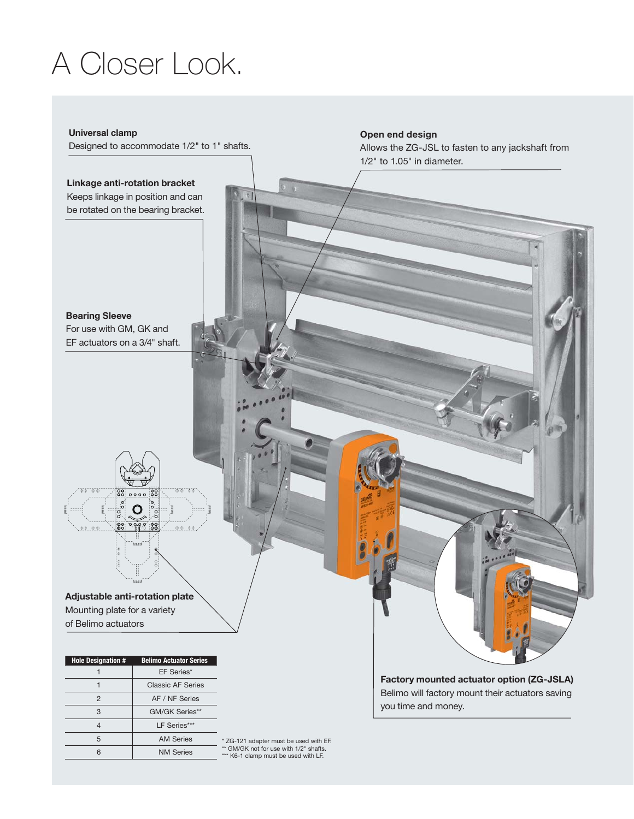## A Closer Look.

#### **Universal clamp**

Designed to accommodate 1/2" to 1" shafts.

#### **Linkage anti-rotation bracket** Keeps linkage in position and can be rotated on the bearing bracket.

**Bearing Sleeve** For use with GM, GK and EF actuators on a 3/4" shaft.



**Adjustable anti-rotation plate** Mounting plate for a variety of Belimo actuators

| <b>Hole Designation #</b> | <b>Belimo Actuator Series</b> |
|---------------------------|-------------------------------|
|                           | EF Series*                    |
|                           | <b>Classic AF Series</b>      |
| 2                         | AF / NF Series                |
| 3                         | GM/GK Series**                |
|                           | LF Series***                  |
| 5                         | <b>AM Series</b>              |
|                           | <b>NM Series</b>              |

\* ZG-121 adapter must be used with EF. \*\* GM/GK not for use with 1/2" shafts. \*\*\* K6-1 clamp must be used with LF.

**Open end design** Allows the ZG-JSL to fasten to any jackshaft from 1/2" to 1.05" in diameter.

**Factory mounted actuator option (ZG-JSLA)** Belimo will factory mount their actuators saving you time and money.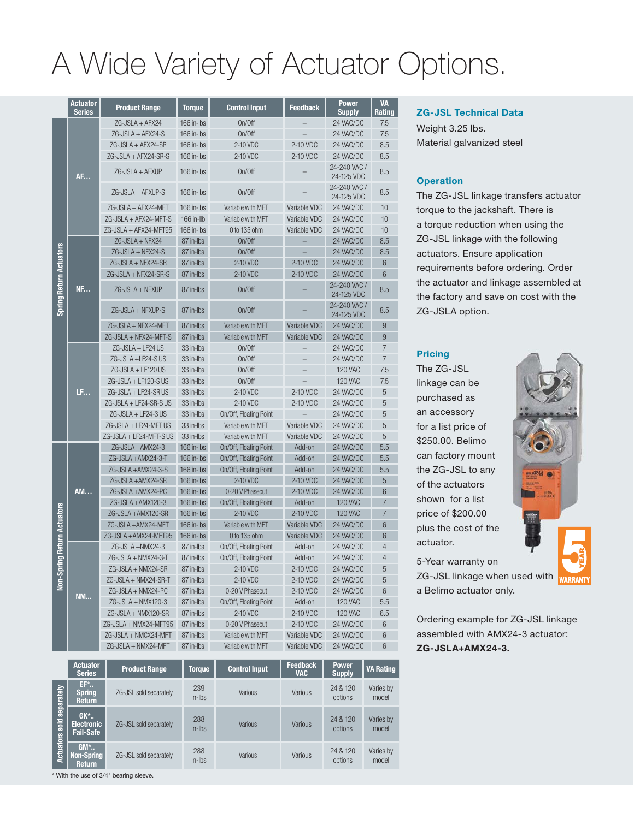# A Wide Variety of Actuator Options.

|                                | <b>Actuator</b><br><b>Series</b> | <b>Product Range</b>    | <b>Torque</b> | <b>Control Input</b>   | <b>Feedback</b>   | <b>Power</b><br><b>Supply</b> | <b>VA</b><br>Rating |
|--------------------------------|----------------------------------|-------------------------|---------------|------------------------|-------------------|-------------------------------|---------------------|
|                                | <b>AF</b>                        | ZG-JSLA + AFX24         | 166 in-lbs    | On/Off                 |                   | 24 VAC/DC                     | 7.5                 |
|                                |                                  | $ZG-JSLA + AFX24-S$     | 166 in-lbs    | On/Off                 |                   | 24 VAC/DC                     | 7.5                 |
|                                |                                  | ZG-JSLA + AFX24-SR      | 166 in-lbs    | 2-10 VDC               | 2-10 VDC          | 24 VAC/DC                     | 8.5                 |
|                                |                                  | $7G$ -JSLA + AFX24-SR-S | 166 in-lbs    | 2-10 VDC               | 2-10 VDC          | 24 VAC/DC                     | 8.5                 |
|                                |                                  | $7G$ -JSLA + AFXUP      | 166 in-lbs    | On/Off                 |                   | 24-240 VAC /<br>24-125 VDC    | 8.5                 |
|                                |                                  | ZG-JSLA + AFXUP-S       | 166 in-lbs    | On/Off                 |                   | 24-240 VAC /<br>24-125 VDC    | 8.5                 |
|                                |                                  | ZG-JSLA + AFX24-MFT     | 166 in-lbs    | Variable with MFT      | Variable VDC      | 24 VAC/DC                     | 10                  |
|                                |                                  | ZG-JSLA + AFX24-MFT-S   | 166 in-llb    | Variable with MFT      | Variable VDC      | 24 VAC/DC                     | 10                  |
|                                |                                  | ZG-JSLA + AFX24-MFT95   | 166 in-lbs    | 0 to 135 ohm           | Variable VDC      | 24 VAC/DC                     | 10                  |
|                                |                                  | ZG-JSLA + NFX24         | 87 in-lbs     | On/Off                 | $\qquad \qquad -$ | 24 VAC/DC                     | 8.5                 |
|                                |                                  | ZG-JSLA + NFX24-S       | 87 in-lbs     | On/Off                 |                   | 24 VAC/DC                     | 8.5                 |
|                                |                                  | ZG-JSLA + NFX24-SR      | 87 in-lbs     | 2-10 VDC               | 2-10 VDC          | 24 VAC/DC                     | 6                   |
|                                |                                  | ZG-JSLA + NFX24-SR-S    | 87 in-lbs     | 2-10 VDC               | 2-10 VDC          | 24 VAC/DC                     | 6                   |
| <b>Spring Return Actuators</b> | <b>NF</b>                        | ZG-JSLA + NFXUP         | 87 in-lbs     | On/Off                 |                   | 24-240 VAC /<br>24-125 VDC    | 8.5                 |
|                                |                                  | ZG-JSLA + NFXUP-S       | 87 in-lbs     | On/Off                 |                   | 24-240 VAC /<br>24-125 VDC    | 8.5                 |
|                                |                                  | ZG-JSLA + NFX24-MFT     | 87 in-lbs     | Variable with MFT      | Variable VDC      | 24 VAC/DC                     | 9                   |
|                                |                                  | ZG-JSLA + NFX24-MFT-S   | 87 in-lbs     | Variable with MFT      | Variable VDC      | 24 VAC/DC                     | 9                   |
|                                | LF                               | ZG-JSLA + LF24 US       | 33 in-lbs     | On/Off                 |                   | 24 VAC/DC                     | 7                   |
|                                |                                  | ZG-JSLA +LF24-SUS       | 33 in-lbs     | On/Off                 |                   | 24 VAC/DC                     | $\overline{7}$      |
|                                |                                  | ZG-JSLA + LF120 US      | 33 in-lbs     | On/Off                 |                   | <b>120 VAC</b>                | 7.5                 |
|                                |                                  | ZG-JSLA + LF120-S US    | 33 in-lbs     | On/Off                 |                   | <b>120 VAC</b>                | 7.5                 |
|                                |                                  | ZG-JSLA + LF24-SR US    | 33 in-lbs     | 2-10 VDC               | 2-10 VDC          | 24 VAC/DC                     | 5                   |
|                                |                                  | ZG-JSLA + LF24-SR-SUS   | 33 in-lbs     | 2-10 VDC               | 2-10 VDC          | 24 VAC/DC                     | 5                   |
|                                |                                  | ZG-JSLA + LF24-3 US     | 33 in-lbs     | On/Off, Floating Point |                   | 24 VAC/DC                     | 5                   |
|                                |                                  | ZG-JSLA + LF24-MFT US   | 33 in-lbs     | Variable with MFT      | Variable VDC      | 24 VAC/DC                     | 5                   |
|                                |                                  | ZG-JSLA + LF24-MFT-S US | 33 in-lbs     | Variable with MFT      | Variable VDC      | 24 VAC/DC                     | 5                   |
|                                |                                  | ZG-JSLA +AMX24-3        | 166 in-lbs    | On/Off, Floating Point | Add-on            | 24 VAC/DC                     | 5.5                 |
|                                |                                  | ZG-JSLA +AMX24-3-T      | 166 in-lbs    | On/Off, Floating Point | Add-on            | 24 VAC/DC                     | 5.5                 |
|                                |                                  | ZG-JSLA +AMX24-3-S      | 166 in-lbs    | On/Off, Floating Point | Add-on            | 24 VAC/DC                     | 5.5                 |
|                                |                                  | ZG-JSLA +AMX24-SR       | 166 in-lbs    | 2-10 VDC               | 2-10 VDC          | 24 VAC/DC                     | 5                   |
| ng Return Actuators<br>Non-Spr | <b>AM</b>                        | ZG-JSLA +AMX24-PC       | 166 in-lbs    | 0-20 V Phasecut        | 2-10 VDC          | 24 VAC/DC                     | 6                   |
|                                |                                  | ZG-JSLA + AMX120-3      | 166 in-lbs    | On/Off, Floating Point | Add-on            | <b>120 VAC</b>                | $\overline{7}$      |
|                                |                                  | ZG-JSLA +AMX120-SR      | 166 in-lbs    | 2-10 VDC               | 2-10 VDC          | <b>120 VAC</b>                | $\overline{7}$      |
|                                |                                  | ZG-JSLA +AMX24-MFT      | 166 in-lbs    | Variable with MFT      | Variable VDC      | 24 VAC/DC                     | 6                   |
|                                |                                  | ZG-JSLA +AMX24-MFT95    | 166 in-Ibs    | 0 to 135 ohm           | Variable VDC      | 24 VAC/DC                     | $6\phantom{1}$      |
|                                | <b>NM</b>                        | ZG-JSLA +NMX24-3        | 87 in-lbs     | On/Off, Floating Point | Add-on            | 24 VAC/DC                     | $\overline{4}$      |
|                                |                                  | $7G$ -JSLA + NMX24-3-T  | 87 in-lbs     | On/Off, Floating Point | Add-on            | 24 VAC/DC                     | $\overline{4}$      |
|                                |                                  | ZG-JSLA + NMX24-SR      | 87 in-Ibs     | 2-10 VDC               | 2-10 VDC          | 24 VAC/DC                     | 5                   |
|                                |                                  | ZG-JSLA + NMX24-SR-T    | 87 in-Ibs     | 2-10 VDC               | 2-10 VDC          | 24 VAC/DC                     | 5                   |
|                                |                                  | ZG-JSLA + NMX24-PC      | 87 in-Ibs     | 0-20 V Phasecut        | 2-10 VDC          | 24 VAC/DC                     | 6                   |
|                                |                                  | ZG-JSLA + NMX120-3      | 87 in-Ibs     | On/Off, Floating Point | Add-on            | 120 VAC                       | 5.5                 |
|                                |                                  | ZG-JSLA + NMX120-SR     | 87 in-Ibs     | 2-10 VDC               | 2-10 VDC          | <b>120 VAC</b>                | 6.5                 |
|                                |                                  | ZG-JSLA + NMX24-MFT95   | 87 in-lbs     | 0-20 V Phasecut        | 2-10 VDC          | 24 VAC/DC                     | 6                   |
|                                |                                  | ZG-JSLA + NMCX24-MFT    | 87 in-lbs     | Variable with MFT      | Variable VDC      | 24 VAC/DC                     | 6                   |
|                                |                                  | ZG-JSLA + NMX24-MFT     | 87 in-lbs     | Variable with MFT      | Variable VDC      | 24 VAC/DC                     | 6                   |

|                           | <b>Actuator</b><br><b>Series</b>         | <b>Product Range</b>   | <b>Torque</b>        | <b>Control Input</b> | <b>Feedback</b><br><b>VAC</b> | <b>Power</b><br><b>Supply</b> | <b>VA Rating</b>   |
|---------------------------|------------------------------------------|------------------------|----------------------|----------------------|-------------------------------|-------------------------------|--------------------|
| Actuators sold separately | $EF^*$<br><b>Spring</b><br><b>Return</b> | ZG-JSL sold separately | 239<br>$in$ -Ibs     | Various              | Various                       | 24 & 120<br>options           | Varies by<br>model |
|                           | $GK^*$<br><b>Electronic</b><br>Fail-Safe | ZG-JSL sold separately | 288<br>$in$ - $ $ bs | Various              | Various                       | 24 & 120<br>options           | Varies by<br>model |
|                           | $GM^*$<br>Non-Spring<br><b>Return</b>    | ZG-JSL sold separately | 288<br>$in$ -Ibs     | Various              | Various                       | 24 & 120<br>options           | Varies by<br>model |

#### **ZG-JSL Technical Data**

Weight 3.25 lbs. Material galvanized steel

#### **Operation**

The ZG-JSL linkage transfers actuator torque to the jackshaft. There is a torque reduction when using the ZG-JSL linkage with the following actuators. Ensure application requirements before ordering. Order the actuator and linkage assembled at the factory and save on cost with the ZG-JSLA option.

#### **Pricing**

The ZG-JSL linkage can be purchased as an accessory for a list price of \$250.00. Belimo can factory mount the ZG-JSL to any of the actuators shown for a list price of \$200.00 plus the cost of the actuator.

5-Year warranty on



a Belimo actuator only. Ordering example for ZG-JSL linkage

assembled with AMX24-3 actuator: **ZG-JSLA+AMX24-3.**

\* With the use of 3/4" bearing sleeve.